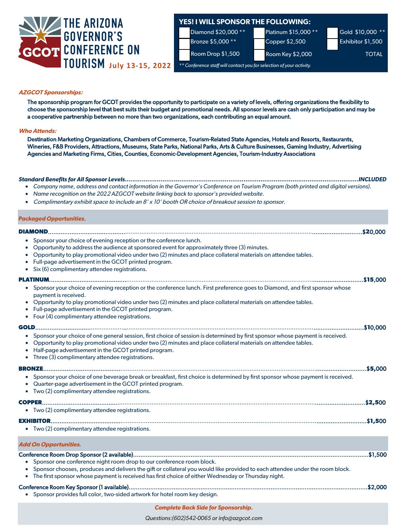

# **YES! I WILL SPONSOR THE FOLLOWING:**

Platinum \$15,000 \*\* Copper \$2,500



Room Drop \$1,500 Room Key \$2,000 Room TOTAL

*\*\* Conference staff will contact you for selection of your activity.*

Gold \$10,000 \*\* Exhibitor \$1,500

**AZGCOT Sponsorships:**

The sponsorship program for GCOT provides the opportunity to participate on a variety of levels, offering organizations the flexibility to choose the sponsorship level that best suits their budget and promotional needs. All sponsor levels are cash only participation and may be a cooperative partnership between no more than two organizations, each contributing an equal amount.

### Who Attends: **Who Attends:**

Destination Marketing Organizations, Chambers of Commerce, Tourism-Related State Agencies, Hotels and Resorts, Restaurants, Wineries, F&B Providers, Attractions, Museums, State Parks, National Parks, Arts & Culture Businesses, Gaming Industry, Advertising Agencies and Marketing Firms, Cities, Counties, Economic-Development Agencies, Tourism-Industry Associations

| Company name, address and contact information in the Governor's Conference on Tourism Program (both printed and digital versions).<br>Name recognition on the 2022 AZGCOT website linking back to sponsor's provided website.<br>Complimentary exhibit space to include an 8' x 10' booth OR choice of breakout session to sponsor.                                                               | <b>INCLUDED</b> |
|---------------------------------------------------------------------------------------------------------------------------------------------------------------------------------------------------------------------------------------------------------------------------------------------------------------------------------------------------------------------------------------------------|-----------------|
| <b>Packaged Opportunities.</b>                                                                                                                                                                                                                                                                                                                                                                    |                 |
| DIAMOND.                                                                                                                                                                                                                                                                                                                                                                                          |                 |
| • Sponsor your choice of evening reception or the conference lunch.<br>• Opportunity to address the audience at sponsored event for approximately three (3) minutes.<br>Opportunity to play promotional video under two (2) minutes and place collateral materials on attendee tables.<br>Full-page advertisement in the GCOT printed program.<br>• Six (6) complimentary attendee registrations. |                 |
|                                                                                                                                                                                                                                                                                                                                                                                                   |                 |
| Sponsor your choice of evening reception or the conference lunch. First preference goes to Diamond, and first sponsor whose<br>payment is received.<br>Opportunity to play promotional video under two (2) minutes and place collateral materials on attendee tables.<br>Full-page advertisement in the GCOT printed program.<br>$\bullet$<br>Four (4) complimentary attendee registrations.      |                 |
| GOLD                                                                                                                                                                                                                                                                                                                                                                                              | \$10,000        |
| • Sponsor your choice of one general session, first choice of session is determined by first sponsor whose payment is received.<br>Opportunity to play promotional video under two (2) minutes and place collateral materials on attendee tables.<br>Half-page advertisement in the GCOT printed program.<br>$\bullet$<br>• Three (3) complimentary attendee registrations.                       |                 |
|                                                                                                                                                                                                                                                                                                                                                                                                   |                 |
| • Sponsor your choice of one beverage break or breakfast, first choice is determined by first sponsor whose payment is received.<br>• Quarter-page advertisement in the GCOT printed program.<br>Two (2) complimentary attendee registrations.                                                                                                                                                    |                 |
|                                                                                                                                                                                                                                                                                                                                                                                                   |                 |
| • Two (2) complimentary attendee registrations.                                                                                                                                                                                                                                                                                                                                                   |                 |
| • Two (2) complimentary attendee registrations.                                                                                                                                                                                                                                                                                                                                                   |                 |
| <b>Add On Opportunities.</b>                                                                                                                                                                                                                                                                                                                                                                      |                 |
| Sponsor one conference night room drop to our conference room block.<br>Sponsor chooses, produces and delivers the gift or collateral you would like provided to each attendee under the room block.<br>• The first sponsor whose payment is received has first choice of either Wednesday or Thursday night.                                                                                     |                 |
| • Sponsor provides full color, two-sided artwork for hotel room key design.                                                                                                                                                                                                                                                                                                                       |                 |

### **Complete Back Side for Sponsorship.**